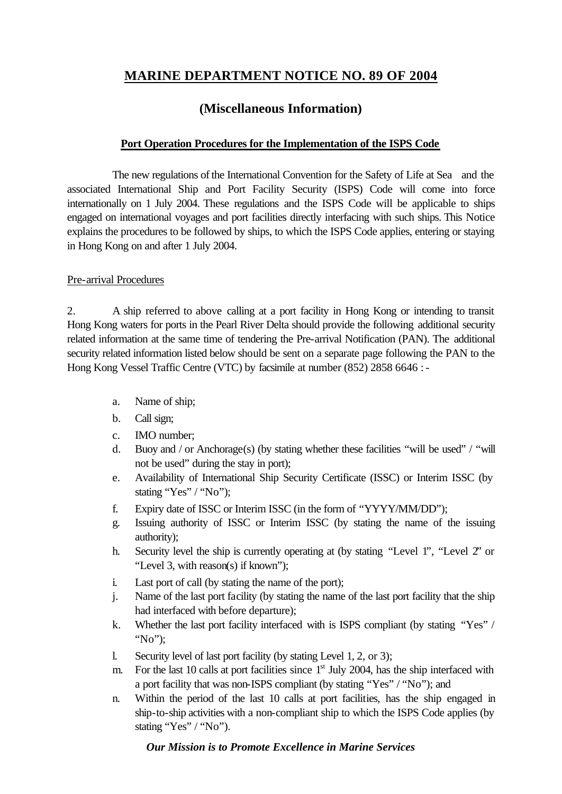# **MARINE DEPARTMENT NOTICE NO. 89 OF 2004**

## **(Miscellaneous Information)**

#### **Port Operation Procedures for the Implementation of the ISPS Code**

The new regulations of the International Convention for the Safety of Life at Sea and the associated International Ship and Port Facility Security (ISPS) Code will come into force internationally on 1 July 2004. These regulations and the ISPS Code will be applicable to ships engaged on international voyages and port facilities directly interfacing with such ships. This Notice explains the procedures to be followed by ships, to which the ISPS Code applies, entering or staying in Hong Kong on and after 1 July 2004.

#### Pre-arrival Procedures

2. A ship referred to above calling at a port facility in Hong Kong or intending to transit Hong Kong waters for ports in the Pearl River Delta should provide the following additional security related information at the same time of tendering the Pre-arrival Notification (PAN). The additional security related information listed below should be sent on a separate page following the PAN to the Hong Kong Vessel Traffic Centre (VTC) by facsimile at number (852) 2858 6646 : -

- a. Name of ship;
- b. Call sign;
- c. IMO number;
- d. Buoy and / or Anchorage(s) (by stating whether these facilities "will be used" / "will not be used" during the stay in port);
- e. Availability of International Ship Security Certificate (ISSC) or Interim ISSC (by stating "Yes" / "No");
- f. Expiry date of ISSC or Interim ISSC (in the form of "YYYY/MM/DD");
- g. Issuing authority of ISSC or Interim ISSC (by stating the name of the issuing authority);
- h. Security level the ship is currently operating at (by stating "Level 1", "Level 2" or "Level 3, with reason(s) if known");
- i. Last port of call (by stating the name of the port);
- j. Name of the last port facility (by stating the name of the last port facility that the ship had interfaced with before departure);
- k. Whether the last port facility interfaced with is ISPS compliant (by stating "Yes" / "No");
- l. Security level of last port facility (by stating Level 1, 2, or 3);
- m. For the last 10 calls at port facilities since  $1<sup>st</sup>$  July 2004, has the ship interfaced with a port facility that was non-ISPS compliant (by stating "Yes" / "No"); and
- n. Within the period of the last 10 calls at port facilities, has the ship engaged in ship-to-ship activities with a non-compliant ship to which the ISPS Code applies (by stating "Yes" / "No").

#### *Our Mission is to Promote Excellence in Marine Services*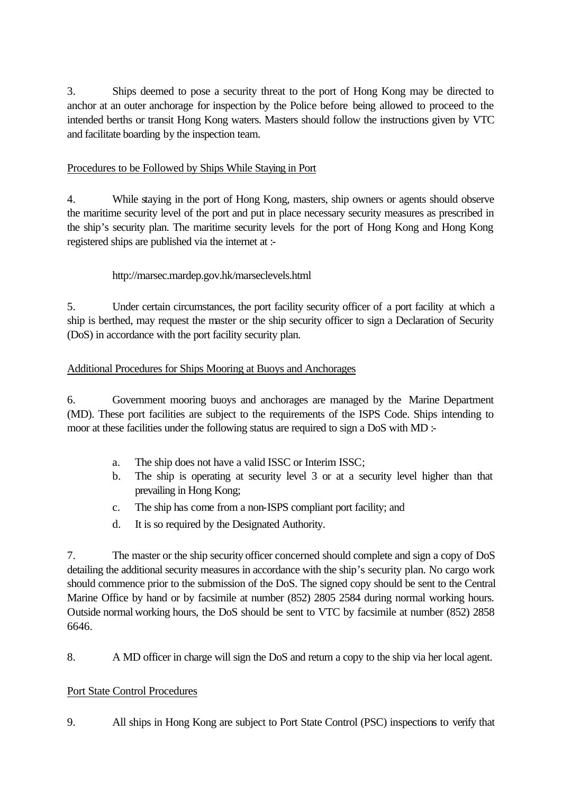3. Ships deemed to pose a security threat to the port of Hong Kong may be directed to anchor at an outer anchorage for inspection by the Police before being allowed to proceed to the intended berths or transit Hong Kong waters. Masters should follow the instructions given by VTC and facilitate boarding by the inspection team.

### Procedures to be Followed by Ships While Staying in Port

4. While staying in the port of Hong Kong, masters, ship owners or agents should observe the maritime security level of the port and put in place necessary security measures as prescribed in the ship's security plan. The maritime security levels for the port of Hong Kong and Hong Kong registered ships are published via the internet at :-

### http://marsec.mardep.gov.hk/marseclevels.html

5. Under certain circumstances, the port facility security officer of a port facility at which a ship is berthed, may request the master or the ship security officer to sign a Declaration of Security (DoS) in accordance with the port facility security plan.

### Additional Procedures for Ships Mooring at Buoys and Anchorages

6. Government mooring buoys and anchorages are managed by the Marine Department (MD). These port facilities are subject to the requirements of the ISPS Code. Ships intending to moor at these facilities under the following status are required to sign a DoS with MD :-

- a. The ship does not have a valid ISSC or Interim ISSC;
- b. The ship is operating at security level 3 or at a security level higher than that prevailing in Hong Kong;
- c. The ship has come from a non-ISPS compliant port facility; and
- d. It is so required by the Designated Authority.

7. The master or the ship security officer concerned should complete and sign a copy of DoS detailing the additional security measures in accordance with the ship's security plan. No cargo work should commence prior to the submission of the DoS. The signed copy should be sent to the Central Marine Office by hand or by facsimile at number (852) 2805 2584 during normal working hours. Outside normal working hours, the DoS should be sent to VTC by facsimile at number (852) 2858 6646.

8. A MD officer in charge will sign the DoS and return a copy to the ship via her local agent.

#### Port State Control Procedures

9. All ships in Hong Kong are subject to Port State Control (PSC) inspections to verify that